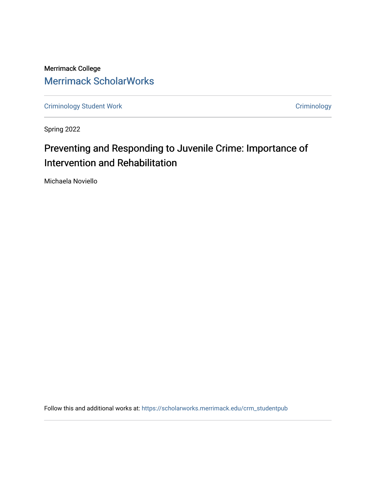Merrimack College [Merrimack ScholarWorks](https://scholarworks.merrimack.edu/) 

[Criminology Student Work](https://scholarworks.merrimack.edu/crm_studentpub) **Criminology** Criminology

Spring 2022

# Preventing and Responding to Juvenile Crime: Importance of Intervention and Rehabilitation

Michaela Noviello

Follow this and additional works at: [https://scholarworks.merrimack.edu/crm\\_studentpub](https://scholarworks.merrimack.edu/crm_studentpub?utm_source=scholarworks.merrimack.edu%2Fcrm_studentpub%2F45&utm_medium=PDF&utm_campaign=PDFCoverPages)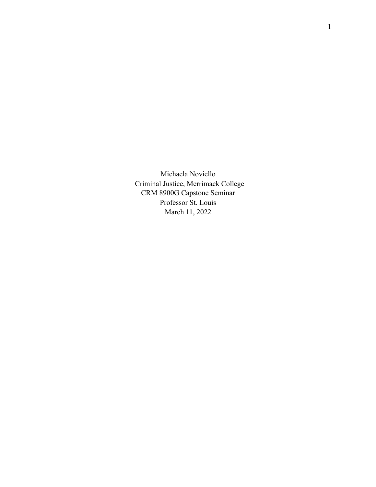Michaela Noviello Criminal Justice, Merrimack College CRM 8900G Capstone Seminar Professor St. Louis March 11, 2022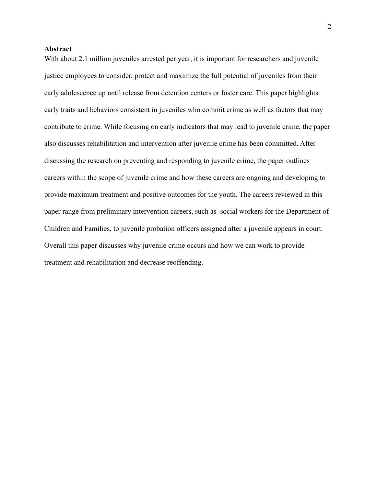## **Abstract**

With about 2.1 million juveniles arrested per year, it is important for researchers and juvenile justice employees to consider, protect and maximize the full potential of juveniles from their early adolescence up until release from detention centers or foster care. This paper highlights early traits and behaviors consistent in juveniles who commit crime as well as factors that may contribute to crime. While focusing on early indicators that may lead to juvenile crime, the paper also discusses rehabilitation and intervention after juvenile crime has been committed. After discussing the research on preventing and responding to juvenile crime, the paper outlines careers within the scope of juvenile crime and how these careers are ongoing and developing to provide maximum treatment and positive outcomes for the youth. The careers reviewed in this paper range from preliminary intervention careers, such as social workers for the Department of Children and Families, to juvenile probation officers assigned after a juvenile appears in court. Overall this paper discusses why juvenile crime occurs and how we can work to provide treatment and rehabilitation and decrease reoffending.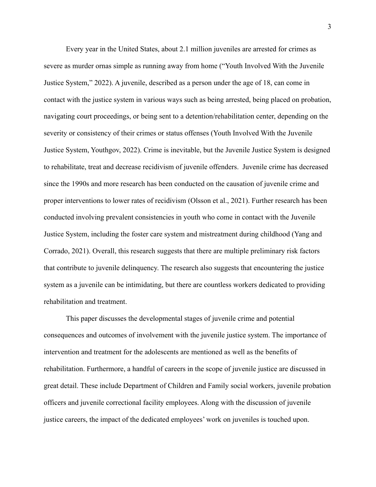Every year in the United States, about 2.1 million juveniles are arrested for crimes as severe as murder ornas simple as running away from home ("Youth Involved With the Juvenile Justice System," 2022). A juvenile, described as a person under the age of 18, can come in contact with the justice system in various ways such as being arrested, being placed on probation, navigating court proceedings, or being sent to a detention/rehabilitation center, depending on the severity or consistency of their crimes or status offenses (Youth Involved With the Juvenile Justice System, Youthgov, 2022). Crime is inevitable, but the Juvenile Justice System is designed to rehabilitate, treat and decrease recidivism of juvenile offenders. Juvenile crime has decreased since the 1990s and more research has been conducted on the causation of juvenile crime and proper interventions to lower rates of recidivism (Olsson et al., 2021). Further research has been conducted involving prevalent consistencies in youth who come in contact with the Juvenile Justice System, including the foster care system and mistreatment during childhood (Yang and Corrado, 2021). Overall, this research suggests that there are multiple preliminary risk factors that contribute to juvenile delinquency. The research also suggests that encountering the justice system as a juvenile can be intimidating, but there are countless workers dedicated to providing rehabilitation and treatment.

This paper discusses the developmental stages of juvenile crime and potential consequences and outcomes of involvement with the juvenile justice system. The importance of intervention and treatment for the adolescents are mentioned as well as the benefits of rehabilitation. Furthermore, a handful of careers in the scope of juvenile justice are discussed in great detail. These include Department of Children and Family social workers, juvenile probation officers and juvenile correctional facility employees. Along with the discussion of juvenile justice careers, the impact of the dedicated employees' work on juveniles is touched upon.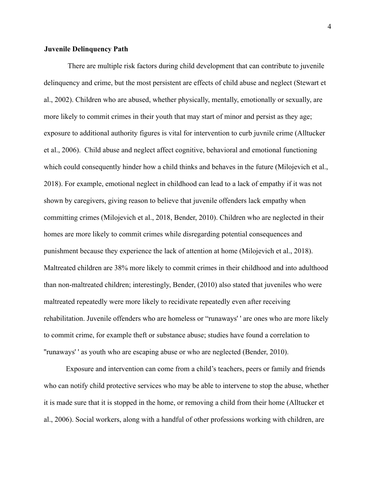## **Juvenile Delinquency Path**

There are multiple risk factors during child development that can contribute to juvenile delinquency and crime, but the most persistent are effects of child abuse and neglect (Stewart et al., 2002). Children who are abused, whether physically, mentally, emotionally or sexually, are more likely to commit crimes in their youth that may start of minor and persist as they age; exposure to additional authority figures is vital for intervention to curb juvnile crime (Alltucker et al., 2006). Child abuse and neglect affect cognitive, behavioral and emotional functioning which could consequently hinder how a child thinks and behaves in the future (Milojevich et al., 2018). For example, emotional neglect in childhood can lead to a lack of empathy if it was not shown by caregivers, giving reason to believe that juvenile offenders lack empathy when committing crimes (Milojevich et al., 2018, Bender, 2010). Children who are neglected in their homes are more likely to commit crimes while disregarding potential consequences and punishment because they experience the lack of attention at home (Milojevich et al., 2018). Maltreated children are 38% more likely to commit crimes in their childhood and into adulthood than non-maltreated children; interestingly, Bender, (2010) also stated that juveniles who were maltreated repeatedly were more likely to recidivate repeatedly even after receiving rehabilitation. Juvenile offenders who are homeless or "runaways' ' are ones who are more likely to commit crime, for example theft or substance abuse; studies have found a correlation to ''runaways' ' as youth who are escaping abuse or who are neglected (Bender, 2010).

Exposure and intervention can come from a child's teachers, peers or family and friends who can notify child protective services who may be able to intervene to stop the abuse, whether it is made sure that it is stopped in the home, or removing a child from their home (Alltucker et al., 2006). Social workers, along with a handful of other professions working with children, are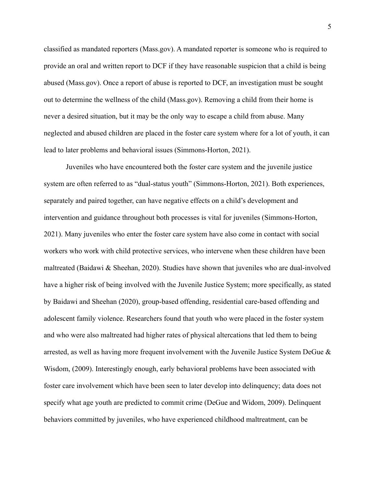classified as mandated reporters (Mass.gov). A mandated reporter is someone who is required to provide an oral and written report to DCF if they have reasonable suspicion that a child is being abused (Mass.gov). Once a report of abuse is reported to DCF, an investigation must be sought out to determine the wellness of the child (Mass.gov). Removing a child from their home is never a desired situation, but it may be the only way to escape a child from abuse. Many neglected and abused children are placed in the foster care system where for a lot of youth, it can lead to later problems and behavioral issues (Simmons-Horton, 2021).

Juveniles who have encountered both the foster care system and the juvenile justice system are often referred to as "dual-status youth" (Simmons-Horton, 2021). Both experiences, separately and paired together, can have negative effects on a child's development and intervention and guidance throughout both processes is vital for juveniles (Simmons-Horton, 2021). Many juveniles who enter the foster care system have also come in contact with social workers who work with child protective services, who intervene when these children have been maltreated (Baidawi & Sheehan, 2020). Studies have shown that juveniles who are dual-involved have a higher risk of being involved with the Juvenile Justice System; more specifically, as stated by Baidawi and Sheehan (2020), group-based offending, residential care-based offending and adolescent family violence. Researchers found that youth who were placed in the foster system and who were also maltreated had higher rates of physical altercations that led them to being arrested, as well as having more frequent involvement with the Juvenile Justice System DeGue  $\&$ Wisdom, (2009). Interestingly enough, early behavioral problems have been associated with foster care involvement which have been seen to later develop into delinquency; data does not specify what age youth are predicted to commit crime (DeGue and Widom, 2009). Delinquent behaviors committed by juveniles, who have experienced childhood maltreatment, can be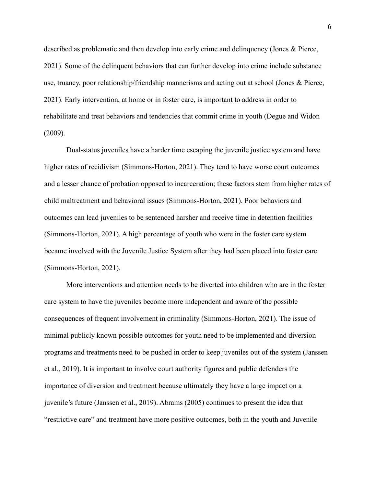described as problematic and then develop into early crime and delinquency (Jones & Pierce, 2021). Some of the delinquent behaviors that can further develop into crime include substance use, truancy, poor relationship/friendship mannerisms and acting out at school (Jones & Pierce, 2021). Early intervention, at home or in foster care, is important to address in order to rehabilitate and treat behaviors and tendencies that commit crime in youth (Degue and Widon (2009).

Dual-status juveniles have a harder time escaping the juvenile justice system and have higher rates of recidivism (Simmons-Horton, 2021). They tend to have worse court outcomes and a lesser chance of probation opposed to incarceration; these factors stem from higher rates of child maltreatment and behavioral issues (Simmons-Horton, 2021). Poor behaviors and outcomes can lead juveniles to be sentenced harsher and receive time in detention facilities (Simmons-Horton, 2021). A high percentage of youth who were in the foster care system became involved with the Juvenile Justice System after they had been placed into foster care (Simmons-Horton, 2021).

More interventions and attention needs to be diverted into children who are in the foster care system to have the juveniles become more independent and aware of the possible consequences of frequent involvement in criminality (Simmons-Horton, 2021). The issue of minimal publicly known possible outcomes for youth need to be implemented and diversion programs and treatments need to be pushed in order to keep juveniles out of the system (Janssen et al., 2019). It is important to involve court authority figures and public defenders the importance of diversion and treatment because ultimately they have a large impact on a juvenile's future (Janssen et al., 2019). Abrams (2005) continues to present the idea that "restrictive care" and treatment have more positive outcomes, both in the youth and Juvenile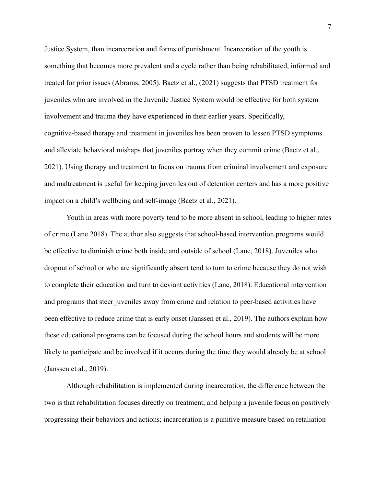Justice System, than incarceration and forms of punishment. Incarceration of the youth is something that becomes more prevalent and a cycle rather than being rehabilitated, informed and treated for prior issues (Abrams, 2005). Baetz et al., (2021) suggests that PTSD treatment for juveniles who are involved in the Juvenile Justice System would be effective for both system involvement and trauma they have experienced in their earlier years. Specifically, cognitive-based therapy and treatment in juveniles has been proven to lessen PTSD symptoms and alleviate behavioral mishaps that juveniles portray when they commit crime (Baetz et al., 2021). Using therapy and treatment to focus on trauma from criminal involvement and exposure and maltreatment is useful for keeping juveniles out of detention centers and has a more positive impact on a child's wellbeing and self-image (Baetz et al., 2021).

Youth in areas with more poverty tend to be more absent in school, leading to higher rates of crime (Lane 2018). The author also suggests that school-based intervention programs would be effective to diminish crime both inside and outside of school (Lane, 2018). Juveniles who dropout of school or who are significantly absent tend to turn to crime because they do not wish to complete their education and turn to deviant activities (Lane, 2018). Educational intervention and programs that steer juveniles away from crime and relation to peer-based activities have been effective to reduce crime that is early onset (Janssen et al., 2019). The authors explain how these educational programs can be focused during the school hours and students will be more likely to participate and be involved if it occurs during the time they would already be at school (Janssen et al., 2019).

Although rehabilitation is implemented during incarceration, the difference between the two is that rehabilitation focuses directly on treatment, and helping a juvenile focus on positively progressing their behaviors and actions; incarceration is a punitive measure based on retaliation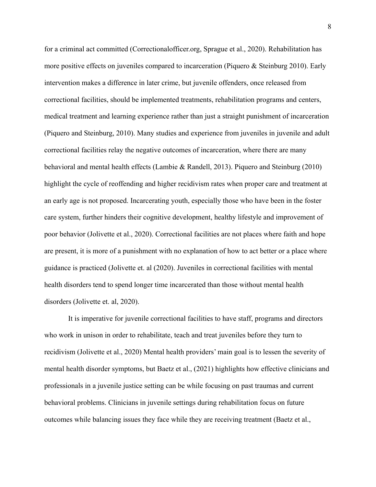for a criminal act committed (Correctionalofficer.org, Sprague et al., 2020). Rehabilitation has more positive effects on juveniles compared to incarceration (Piquero & Steinburg 2010). Early intervention makes a difference in later crime, but juvenile offenders, once released from correctional facilities, should be implemented treatments, rehabilitation programs and centers, medical treatment and learning experience rather than just a straight punishment of incarceration (Piquero and Steinburg, 2010). Many studies and experience from juveniles in juvenile and adult correctional facilities relay the negative outcomes of incarceration, where there are many behavioral and mental health effects (Lambie & Randell, 2013). Piquero and Steinburg (2010) highlight the cycle of reoffending and higher recidivism rates when proper care and treatment at an early age is not proposed. Incarcerating youth, especially those who have been in the foster care system, further hinders their cognitive development, healthy lifestyle and improvement of poor behavior (Jolivette et al., 2020). Correctional facilities are not places where faith and hope are present, it is more of a punishment with no explanation of how to act better or a place where guidance is practiced (Jolivette et. al (2020). Juveniles in correctional facilities with mental health disorders tend to spend longer time incarcerated than those without mental health disorders (Jolivette et. al, 2020).

It is imperative for juvenile correctional facilities to have staff, programs and directors who work in unison in order to rehabilitate, teach and treat juveniles before they turn to recidivism (Jolivette et al., 2020) Mental health providers' main goal is to lessen the severity of mental health disorder symptoms, but Baetz et al., (2021) highlights how effective clinicians and professionals in a juvenile justice setting can be while focusing on past traumas and current behavioral problems. Clinicians in juvenile settings during rehabilitation focus on future outcomes while balancing issues they face while they are receiving treatment (Baetz et al.,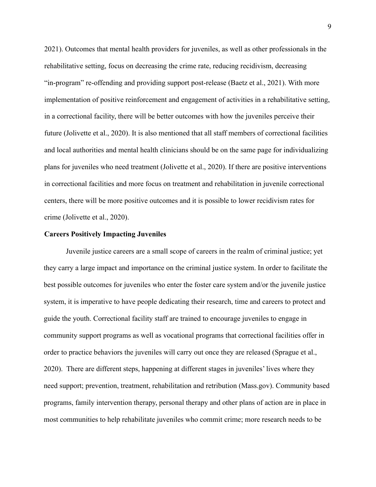2021). Outcomes that mental health providers for juveniles, as well as other professionals in the rehabilitative setting, focus on decreasing the crime rate, reducing recidivism, decreasing "in-program" re-offending and providing support post-release (Baetz et al., 2021). With more implementation of positive reinforcement and engagement of activities in a rehabilitative setting, in a correctional facility, there will be better outcomes with how the juveniles perceive their future (Jolivette et al., 2020). It is also mentioned that all staff members of correctional facilities and local authorities and mental health clinicians should be on the same page for individualizing plans for juveniles who need treatment (Jolivette et al., 2020). If there are positive interventions in correctional facilities and more focus on treatment and rehabilitation in juvenile correctional centers, there will be more positive outcomes and it is possible to lower recidivism rates for crime (Jolivette et al., 2020).

#### **Careers Positively Impacting Juveniles**

Juvenile justice careers are a small scope of careers in the realm of criminal justice; yet they carry a large impact and importance on the criminal justice system. In order to facilitate the best possible outcomes for juveniles who enter the foster care system and/or the juvenile justice system, it is imperative to have people dedicating their research, time and careers to protect and guide the youth. Correctional facility staff are trained to encourage juveniles to engage in community support programs as well as vocational programs that correctional facilities offer in order to practice behaviors the juveniles will carry out once they are released (Sprague et al., 2020). There are different steps, happening at different stages in juveniles' lives where they need support; prevention, treatment, rehabilitation and retribution (Mass.gov). Community based programs, family intervention therapy, personal therapy and other plans of action are in place in most communities to help rehabilitate juveniles who commit crime; more research needs to be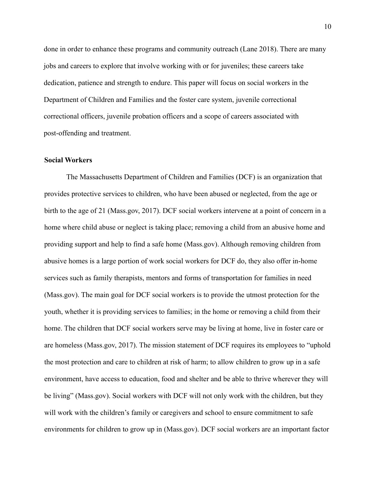done in order to enhance these programs and community outreach (Lane 2018). There are many jobs and careers to explore that involve working with or for juveniles; these careers take dedication, patience and strength to endure. This paper will focus on social workers in the Department of Children and Families and the foster care system, juvenile correctional correctional officers, juvenile probation officers and a scope of careers associated with post-offending and treatment.

# **Social Workers**

The Massachusetts Department of Children and Families (DCF) is an organization that provides protective services to children, who have been abused or neglected, from the age or birth to the age of 21 (Mass.gov, 2017). DCF social workers intervene at a point of concern in a home where child abuse or neglect is taking place; removing a child from an abusive home and providing support and help to find a safe home (Mass.gov). Although removing children from abusive homes is a large portion of work social workers for DCF do, they also offer in-home services such as family therapists, mentors and forms of transportation for families in need (Mass.gov). The main goal for DCF social workers is to provide the utmost protection for the youth, whether it is providing services to families; in the home or removing a child from their home. The children that DCF social workers serve may be living at home, live in foster care or are homeless (Mass.gov, 2017). The mission statement of DCF requires its employees to "uphold the most protection and care to children at risk of harm; to allow children to grow up in a safe environment, have access to education, food and shelter and be able to thrive wherever they will be living" (Mass.gov). Social workers with DCF will not only work with the children, but they will work with the children's family or caregivers and school to ensure commitment to safe environments for children to grow up in (Mass.gov). DCF social workers are an important factor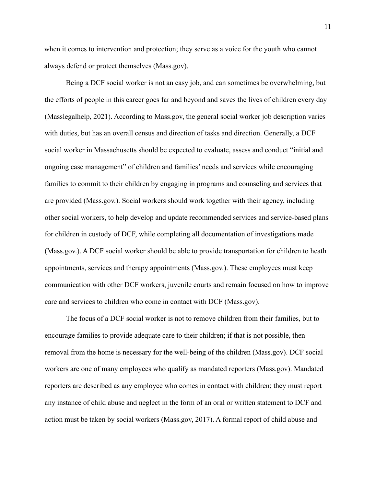when it comes to intervention and protection; they serve as a voice for the youth who cannot always defend or protect themselves (Mass.gov).

Being a DCF social worker is not an easy job, and can sometimes be overwhelming, but the efforts of people in this career goes far and beyond and saves the lives of children every day (Masslegalhelp, 2021). According to Mass.gov, the general social worker job description varies with duties, but has an overall census and direction of tasks and direction. Generally, a DCF social worker in Massachusetts should be expected to evaluate, assess and conduct "initial and ongoing case management" of children and families' needs and services while encouraging families to commit to their children by engaging in programs and counseling and services that are provided (Mass.gov.). Social workers should work together with their agency, including other social workers, to help develop and update recommended services and service-based plans for children in custody of DCF, while completing all documentation of investigations made (Mass.gov.). A DCF social worker should be able to provide transportation for children to heath appointments, services and therapy appointments (Mass.gov.). These employees must keep communication with other DCF workers, juvenile courts and remain focused on how to improve care and services to children who come in contact with DCF (Mass.gov).

The focus of a DCF social worker is not to remove children from their families, but to encourage families to provide adequate care to their children; if that is not possible, then removal from the home is necessary for the well-being of the children (Mass.gov). DCF social workers are one of many employees who qualify as mandated reporters (Mass.gov). Mandated reporters are described as any employee who comes in contact with children; they must report any instance of child abuse and neglect in the form of an oral or written statement to DCF and action must be taken by social workers (Mass.gov, 2017). A formal report of child abuse and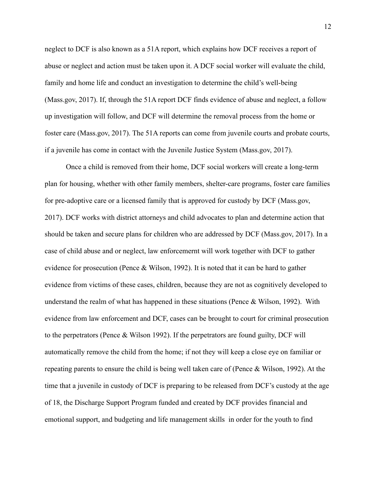neglect to DCF is also known as a 51A report, which explains how DCF receives a report of abuse or neglect and action must be taken upon it. A DCF social worker will evaluate the child, family and home life and conduct an investigation to determine the child's well-being (Mass.gov, 2017). If, through the 51A report DCF finds evidence of abuse and neglect, a follow up investigation will follow, and DCF will determine the removal process from the home or foster care (Mass.gov, 2017). The 51A reports can come from juvenile courts and probate courts, if a juvenile has come in contact with the Juvenile Justice System (Mass.gov, 2017).

Once a child is removed from their home, DCF social workers will create a long-term plan for housing, whether with other family members, shelter-care programs, foster care families for pre-adoptive care or a licensed family that is approved for custody by DCF (Mass.gov, 2017). DCF works with district attorneys and child advocates to plan and determine action that should be taken and secure plans for children who are addressed by DCF (Mass.gov, 2017). In a case of child abuse and or neglect, law enforcemernt will work together with DCF to gather evidence for prosecution (Pence & Wilson, 1992). It is noted that it can be hard to gather evidence from victims of these cases, children, because they are not as cognitively developed to understand the realm of what has happened in these situations (Pence & Wilson, 1992). With evidence from law enforcement and DCF, cases can be brought to court for criminal prosecution to the perpetrators (Pence & Wilson 1992). If the perpetrators are found guilty, DCF will automatically remove the child from the home; if not they will keep a close eye on familiar or repeating parents to ensure the child is being well taken care of (Pence & Wilson, 1992). At the time that a juvenile in custody of DCF is preparing to be released from DCF's custody at the age of 18, the Discharge Support Program funded and created by DCF provides financial and emotional support, and budgeting and life management skills in order for the youth to find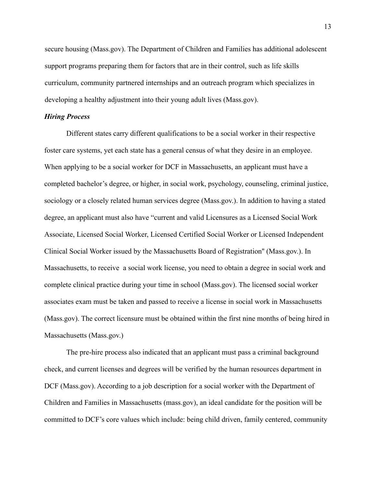secure housing (Mass.gov). The Department of Children and Families has additional adolescent support programs preparing them for factors that are in their control, such as life skills curriculum, community partnered internships and an outreach program which specializes in developing a healthy adjustment into their young adult lives (Mass.gov).

## *Hiring Process*

Different states carry different qualifications to be a social worker in their respective foster care systems, yet each state has a general census of what they desire in an employee. When applying to be a social worker for DCF in Massachusetts, an applicant must have a completed bachelor's degree, or higher, in social work, psychology, counseling, criminal justice, sociology or a closely related human services degree (Mass.gov.). In addition to having a stated degree, an applicant must also have "current and valid Licensures as a Licensed Social Work Associate, Licensed Social Worker, Licensed Certified Social Worker or Licensed Independent Clinical Social Worker issued by the Massachusetts Board of Registration'' (Mass.gov.). In Massachusetts, to receive a social work license, you need to obtain a degree in social work and complete clinical practice during your time in school (Mass.gov). The licensed social worker associates exam must be taken and passed to receive a license in social work in Massachusetts (Mass.gov). The correct licensure must be obtained within the first nine months of being hired in Massachusetts (Mass.gov.)

The pre-hire process also indicated that an applicant must pass a criminal background check, and current licenses and degrees will be verified by the human resources department in DCF (Mass.gov). According to a job description for a social worker with the Department of Children and Families in Massachusetts (mass.gov), an ideal candidate for the position will be committed to DCF's core values which include: being child driven, family centered, community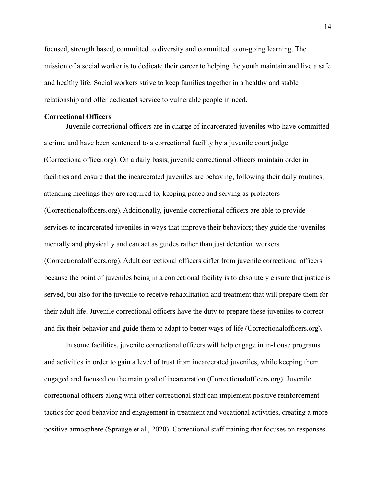focused, strength based, committed to diversity and committed to on-going learning. The mission of a social worker is to dedicate their career to helping the youth maintain and live a safe and healthy life. Social workers strive to keep families together in a healthy and stable relationship and offer dedicated service to vulnerable people in need.

# **Correctional Officers**

Juvenile correctional officers are in charge of incarcerated juveniles who have committed a crime and have been sentenced to a correctional facility by a juvenile court judge (Correctionalofficer.org). On a daily basis, juvenile correctional officers maintain order in facilities and ensure that the incarcerated juveniles are behaving, following their daily routines, attending meetings they are required to, keeping peace and serving as protectors (Correctionalofficers.org). Additionally, juvenile correctional officers are able to provide services to incarcerated juveniles in ways that improve their behaviors; they guide the juveniles mentally and physically and can act as guides rather than just detention workers (Correctionalofficers.org). Adult correctional officers differ from juvenile correctional officers because the point of juveniles being in a correctional facility is to absolutely ensure that justice is served, but also for the juvenile to receive rehabilitation and treatment that will prepare them for their adult life. Juvenile correctional officers have the duty to prepare these juveniles to correct and fix their behavior and guide them to adapt to better ways of life (Correctionalofficers.org).

In some facilities, juvenile correctional officers will help engage in in-house programs and activities in order to gain a level of trust from incarcerated juveniles, while keeping them engaged and focused on the main goal of incarceration (Correctionalofficers.org). Juvenile correctional officers along with other correctional staff can implement positive reinforcement tactics for good behavior and engagement in treatment and vocational activities, creating a more positive atmosphere (Sprauge et al., 2020). Correctional staff training that focuses on responses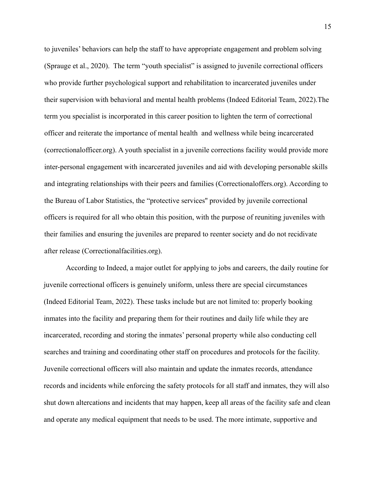to juveniles' behaviors can help the staff to have appropriate engagement and problem solving (Sprauge et al., 2020). The term "youth specialist" is assigned to juvenile correctional officers who provide further psychological support and rehabilitation to incarcerated juveniles under their supervision with behavioral and mental health problems (Indeed Editorial Team, 2022).The term you specialist is incorporated in this career position to lighten the term of correctional officer and reiterate the importance of mental health and wellness while being incarcerated (correctionalofficer.org). A youth specialist in a juvenile corrections facility would provide more inter-personal engagement with incarcerated juveniles and aid with developing personable skills and integrating relationships with their peers and families (Correctionaloffers.org). According to the Bureau of Labor Statistics, the "protective services'' provided by juvenile correctional officers is required for all who obtain this position, with the purpose of reuniting juveniles with their families and ensuring the juveniles are prepared to reenter society and do not recidivate after release (Correctionalfacilities.org).

According to Indeed, a major outlet for applying to jobs and careers, the daily routine for juvenile correctional officers is genuinely uniform, unless there are special circumstances (Indeed Editorial Team, 2022). These tasks include but are not limited to: properly booking inmates into the facility and preparing them for their routines and daily life while they are incarcerated, recording and storing the inmates' personal property while also conducting cell searches and training and coordinating other staff on procedures and protocols for the facility. Juvenile correctional officers will also maintain and update the inmates records, attendance records and incidents while enforcing the safety protocols for all staff and inmates, they will also shut down altercations and incidents that may happen, keep all areas of the facility safe and clean and operate any medical equipment that needs to be used. The more intimate, supportive and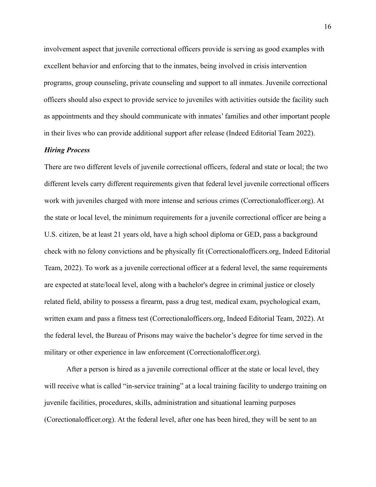involvement aspect that juvenile correctional officers provide is serving as good examples with excellent behavior and enforcing that to the inmates, being involved in crisis intervention programs, group counseling, private counseling and support to all inmates. Juvenile correctional officers should also expect to provide service to juveniles with activities outside the facility such as appointments and they should communicate with inmates' families and other important people in their lives who can provide additional support after release (Indeed Editorial Team 2022).

## *Hiring Process*

There are two different levels of juvenile correctional officers, federal and state or local; the two different levels carry different requirements given that federal level juvenile correctional officers work with juveniles charged with more intense and serious crimes (Correctionalofficer.org). At the state or local level, the minimum requirements for a juvenile correctional officer are being a U.S. citizen, be at least 21 years old, have a high school diploma or GED, pass a background check with no felony convictions and be physically fit (Correctionalofficers.org, Indeed Editorial Team, 2022). To work as a juvenile correctional officer at a federal level, the same requirements are expected at state/local level, along with a bachelor's degree in criminal justice or closely related field, ability to possess a firearm, pass a drug test, medical exam, psychological exam, written exam and pass a fitness test (Correctionalofficers.org, Indeed Editorial Team, 2022). At the federal level, the Bureau of Prisons may waive the bachelor's degree for time served in the military or other experience in law enforcement (Correctionalofficer.org).

After a person is hired as a juvenile correctional officer at the state or local level, they will receive what is called "in-service training" at a local training facility to undergo training on juvenile facilities, procedures, skills, administration and situational learning purposes (Corectionalofficer.org). At the federal level, after one has been hired, they will be sent to an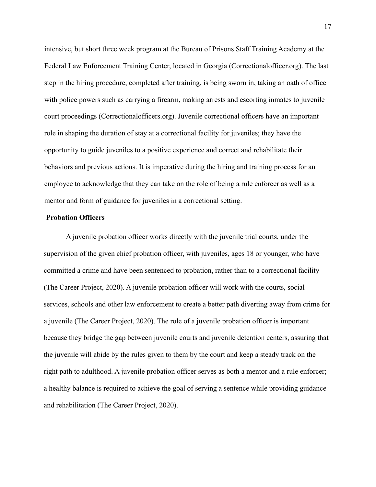intensive, but short three week program at the Bureau of Prisons Staff Training Academy at the Federal Law Enforcement Training Center, located in Georgia (Correctionalofficer.org). The last step in the hiring procedure, completed after training, is being sworn in, taking an oath of office with police powers such as carrying a firearm, making arrests and escorting inmates to juvenile court proceedings (Correctionalofficers.org). Juvenile correctional officers have an important role in shaping the duration of stay at a correctional facility for juveniles; they have the opportunity to guide juveniles to a positive experience and correct and rehabilitate their behaviors and previous actions. It is imperative during the hiring and training process for an employee to acknowledge that they can take on the role of being a rule enforcer as well as a mentor and form of guidance for juveniles in a correctional setting.

## **Probation Officers**

A juvenile probation officer works directly with the juvenile trial courts, under the supervision of the given chief probation officer, with juveniles, ages 18 or younger, who have committed a crime and have been sentenced to probation, rather than to a correctional facility (The Career Project, 2020). A juvenile probation officer will work with the courts, social services, schools and other law enforcement to create a better path diverting away from crime for a juvenile (The Career Project, 2020). The role of a juvenile probation officer is important because they bridge the gap between juvenile courts and juvenile detention centers, assuring that the juvenile will abide by the rules given to them by the court and keep a steady track on the right path to adulthood. A juvenile probation officer serves as both a mentor and a rule enforcer; a healthy balance is required to achieve the goal of serving a sentence while providing guidance and rehabilitation (The Career Project, 2020).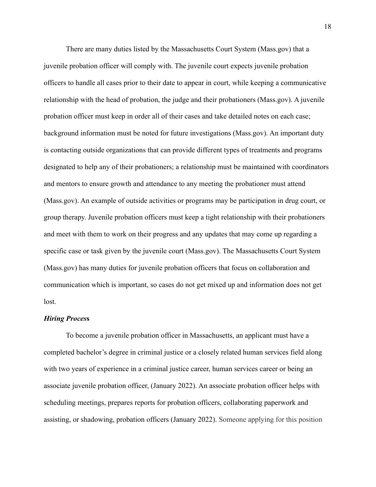There are many duties listed by the Massachusetts Court System (Mass.gov) that a juvenile probation officer will comply with. The juvenile court expects juvenile probation officers to handle all cases prior to their date to appear in court, while keeping a communicative relationship with the head of probation, the judge and their probationers (Mass.gov). A juvenile probation officer must keep in order all of their cases and take detailed notes on each case; background information must be noted for future investigations (Mass.gov). An important duty is contacting outside organizations that can provide different types of treatments and programs designated to help any of their probationers; a relationship must be maintained with coordinators and mentors to ensure growth and attendance to any meeting the probationer must attend (Mass.gov). An example of outside activities or programs may be participation in drug court, or group therapy. Juvenile probation officers must keep a tight relationship with their probationers and meet with them to work on their progress and any updates that may come up regarding a specific case or task given by the juvenile court (Mass.gov). The Massachusetts Court System (Mass.gov) has many duties for juvenile probation officers that focus on collaboration and communication which is important, so cases do not get mixed up and information does not get lost.

## *Hiring Proces***s**

To become a juvenile probation officer in Massachusetts, an applicant must have a completed bachelor's degree in criminal justice or a closely related human services field along with two years of experience in a criminal justice career, human services career or being an associate juvenile probation officer, (January 2022). An associate probation officer helps with scheduling meetings, prepares reports for probation officers, collaborating paperwork and assisting, or shadowing, probation officers (January 2022). Someone applying for this position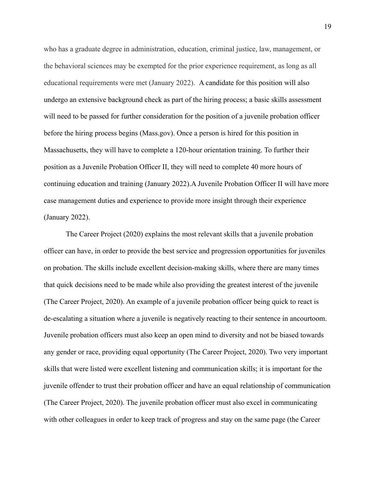who has a graduate degree in administration, education, criminal justice, law, management, or the behavioral sciences may be exempted for the prior experience requirement, as long as all educational requirements were met (January 2022). A candidate for this position will also undergo an extensive background check as part of the hiring process; a basic skills assessment will need to be passed for further consideration for the position of a juvenile probation officer before the hiring process begins (Mass.gov). Once a person is hired for this position in Massachusetts, they will have to complete a 120-hour orientation training. To further their position as a Juvenile Probation Officer II, they will need to complete 40 more hours of continuing education and training (January 2022).A Juvenile Probation Officer II will have more case management duties and experience to provide more insight through their experience (January 2022).

The Career Project (2020) explains the most relevant skills that a juvenile probation officer can have, in order to provide the best service and progression opportunities for juveniles on probation. The skills include excellent decision-making skills, where there are many times that quick decisions need to be made while also providing the greatest interest of the juvenile (The Career Project, 2020). An example of a juvenile probation officer being quick to react is de-escalating a situation where a juvenile is negatively reacting to their sentence in ancourtoom. Juvenile probation officers must also keep an open mind to diversity and not be biased towards any gender or race, providing equal opportunity (The Career Project, 2020). Two very important skills that were listed were excellent listening and communication skills; it is important for the juvenile offender to trust their probation officer and have an equal relationship of communication (The Career Project, 2020). The juvenile probation officer must also excel in communicating with other colleagues in order to keep track of progress and stay on the same page (the Career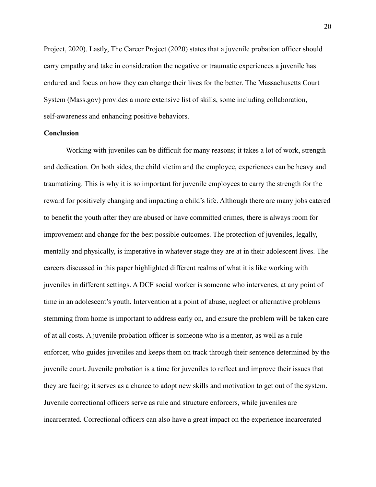Project, 2020). Lastly, The Career Project (2020) states that a juvenile probation officer should carry empathy and take in consideration the negative or traumatic experiences a juvenile has endured and focus on how they can change their lives for the better. The Massachusetts Court System (Mass.gov) provides a more extensive list of skills, some including collaboration, self-awareness and enhancing positive behaviors.

## **Conclusion**

Working with juveniles can be difficult for many reasons; it takes a lot of work, strength and dedication. On both sides, the child victim and the employee, experiences can be heavy and traumatizing. This is why it is so important for juvenile employees to carry the strength for the reward for positively changing and impacting a child's life. Although there are many jobs catered to benefit the youth after they are abused or have committed crimes, there is always room for improvement and change for the best possible outcomes. The protection of juveniles, legally, mentally and physically, is imperative in whatever stage they are at in their adolescent lives. The careers discussed in this paper highlighted different realms of what it is like working with juveniles in different settings. A DCF social worker is someone who intervenes, at any point of time in an adolescent's youth. Intervention at a point of abuse, neglect or alternative problems stemming from home is important to address early on, and ensure the problem will be taken care of at all costs. A juvenile probation officer is someone who is a mentor, as well as a rule enforcer, who guides juveniles and keeps them on track through their sentence determined by the juvenile court. Juvenile probation is a time for juveniles to reflect and improve their issues that they are facing; it serves as a chance to adopt new skills and motivation to get out of the system. Juvenile correctional officers serve as rule and structure enforcers, while juveniles are incarcerated. Correctional officers can also have a great impact on the experience incarcerated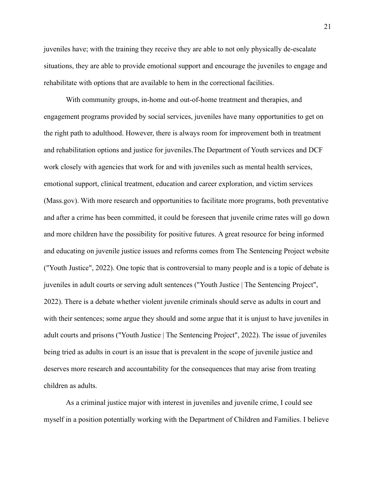juveniles have; with the training they receive they are able to not only physically de-escalate situations, they are able to provide emotional support and encourage the juveniles to engage and rehabilitate with options that are available to hem in the correctional facilities.

With community groups, in-home and out-of-home treatment and therapies, and engagement programs provided by social services, juveniles have many opportunities to get on the right path to adulthood. However, there is always room for improvement both in treatment and rehabilitation options and justice for juveniles.The Department of Youth services and DCF work closely with agencies that work for and with juveniles such as mental health services, emotional support, clinical treatment, education and career exploration, and victim services (Mass.gov). With more research and opportunities to facilitate more programs, both preventative and after a crime has been committed, it could be foreseen that juvenile crime rates will go down and more children have the possibility for positive futures. A great resource for being informed and educating on juvenile justice issues and reforms comes from The Sentencing Project website ("Youth Justice", 2022). One topic that is controversial to many people and is a topic of debate is juveniles in adult courts or serving adult sentences ("Youth Justice | The Sentencing Project", 2022). There is a debate whether violent juvenile criminals should serve as adults in court and with their sentences; some argue they should and some argue that it is unjust to have juveniles in adult courts and prisons ("Youth Justice | The Sentencing Project", 2022). The issue of juveniles being tried as adults in court is an issue that is prevalent in the scope of juvenile justice and deserves more research and accountability for the consequences that may arise from treating children as adults.

As a criminal justice major with interest in juveniles and juvenile crime, I could see myself in a position potentially working with the Department of Children and Families. I believe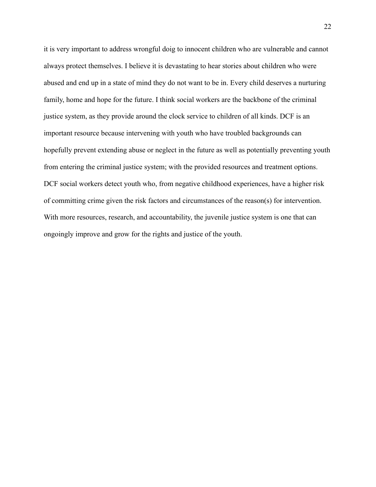it is very important to address wrongful doig to innocent children who are vulnerable and cannot always protect themselves. I believe it is devastating to hear stories about children who were abused and end up in a state of mind they do not want to be in. Every child deserves a nurturing family, home and hope for the future. I think social workers are the backbone of the criminal justice system, as they provide around the clock service to children of all kinds. DCF is an important resource because intervening with youth who have troubled backgrounds can hopefully prevent extending abuse or neglect in the future as well as potentially preventing youth from entering the criminal justice system; with the provided resources and treatment options. DCF social workers detect youth who, from negative childhood experiences, have a higher risk of committing crime given the risk factors and circumstances of the reason(s) for intervention. With more resources, research, and accountability, the juvenile justice system is one that can ongoingly improve and grow for the rights and justice of the youth.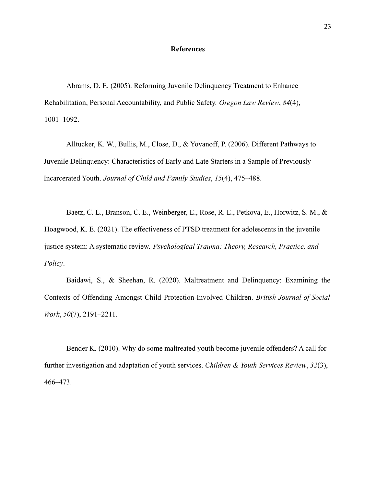#### **References**

Abrams, D. E. (2005). Reforming Juvenile Delinquency Treatment to Enhance Rehabilitation, Personal Accountability, and Public Safety. *Oregon Law Review*, *84*(4), 1001–1092.

Alltucker, K. W., Bullis, M., Close, D., & Yovanoff, P. (2006). Different Pathways to Juvenile Delinquency: Characteristics of Early and Late Starters in a Sample of Previously Incarcerated Youth. *Journal of Child and Family Studies*, *15*(4), 475–488.

Baetz, C. L., Branson, C. E., Weinberger, E., Rose, R. E., Petkova, E., Horwitz, S. M., & Hoagwood, K. E. (2021). The effectiveness of PTSD treatment for adolescents in the juvenile justice system: A systematic review. *Psychological Trauma: Theory, Research, Practice, and Policy*.

Baidawi, S., & Sheehan, R. (2020). Maltreatment and Delinquency: Examining the Contexts of Offending Amongst Child Protection-Involved Children. *British Journal of Social Work*, *50*(7), 2191–2211.

Bender K. (2010). Why do some maltreated youth become juvenile offenders? A call for further investigation and adaptation of youth services. *Children & Youth Services Review*, *32*(3), 466–473.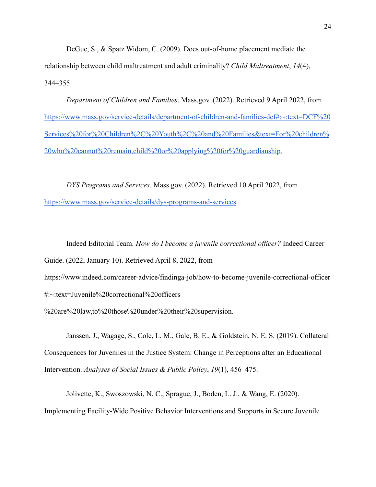DeGue, S., & Spatz Widom, C. (2009). Does out-of-home placement mediate the relationship between child maltreatment and adult criminality? *Child Maltreatment*, *14*(4), 344–355.

*Department of Children and Families*. Mass.gov. (2022). Retrieved 9 April 2022, from [https://www.mass.gov/service-details/department-of-children-and-families-dcf#:~:text=DCF%20](https://www.mass.gov/service-details/department-of-children-and-families-dcf#:~:text=DCF%20Services%20for%20Children%2C%20Youth%2C%20and%20Families&text=For%20children%20who%20cannot%20remain,child%20or%20applying%20for%20guardianship) [Services%20for%20Children%2C%20Youth%2C%20and%20Families&text=For%20children%](https://www.mass.gov/service-details/department-of-children-and-families-dcf#:~:text=DCF%20Services%20for%20Children%2C%20Youth%2C%20and%20Families&text=For%20children%20who%20cannot%20remain,child%20or%20applying%20for%20guardianship) [20who%20cannot%20remain,child%20or%20applying%20for%20guardianship](https://www.mass.gov/service-details/department-of-children-and-families-dcf#:~:text=DCF%20Services%20for%20Children%2C%20Youth%2C%20and%20Families&text=For%20children%20who%20cannot%20remain,child%20or%20applying%20for%20guardianship).

*DYS Programs and Services*. Mass.gov. (2022). Retrieved 10 April 2022, from [https://www.mass.gov/service-details/dys-programs-and-services.](https://www.mass.gov/service-details/dys-programs-and-services)

Indeed Editorial Team. *How do I become a juvenile correctional officer?* Indeed Career

Guide. (2022, January 10). Retrieved April 8, 2022, from

https://www.indeed.com/career-advice/findinga-job/how-to-become-juvenile-correctional-officer

#:~:text=Juvenile%20correctional%20officers

%20are%20law,to%20those%20under%20their%20supervision.

Janssen, J., Wagage, S., Cole, L. M., Gale, B. E., & Goldstein, N. E. S. (2019). Collateral Consequences for Juveniles in the Justice System: Change in Perceptions after an Educational Intervention. *Analyses of Social Issues & Public Policy*, *19*(1), 456–475.

Jolivette, K., Swoszowski, N. C., Sprague, J., Boden, L. J., & Wang, E. (2020). Implementing Facility-Wide Positive Behavior Interventions and Supports in Secure Juvenile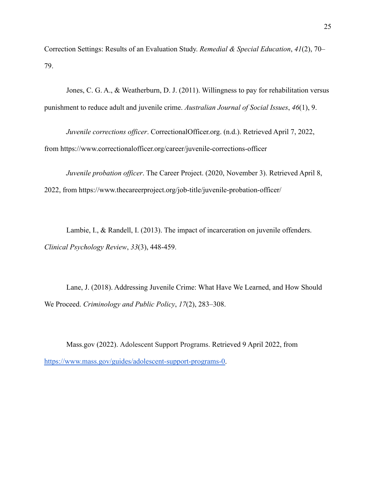Correction Settings: Results of an Evaluation Study. *Remedial & Special Education*, *41*(2), 70– 79.

Jones, C. G. A., & Weatherburn, D. J. (2011). Willingness to pay for rehabilitation versus punishment to reduce adult and juvenile crime. *Australian Journal of Social Issues*, *46*(1), 9.

*Juvenile corrections officer*. CorrectionalOfficer.org. (n.d.). Retrieved April 7, 2022,

from https://www.correctionalofficer.org/career/juvenile-corrections-officer

*Juvenile probation officer*. The Career Project. (2020, November 3). Retrieved April 8,

2022, from https://www.thecareerproject.org/job-title/juvenile-probation-officer/

Lambie, I., & Randell, I. (2013). The impact of incarceration on juvenile offenders. *Clinical Psychology Review*, *33*(3), 448-459.

Lane, J. (2018). Addressing Juvenile Crime: What Have We Learned, and How Should We Proceed. *Criminology and Public Policy*, *17*(2), 283–308.

Mass.gov (2022). Adolescent Support Programs. Retrieved 9 April 2022, from [https://www.mass.gov/guides/adolescent-support-programs-0.](https://www.mass.gov/guides/adolescent-support-programs-0)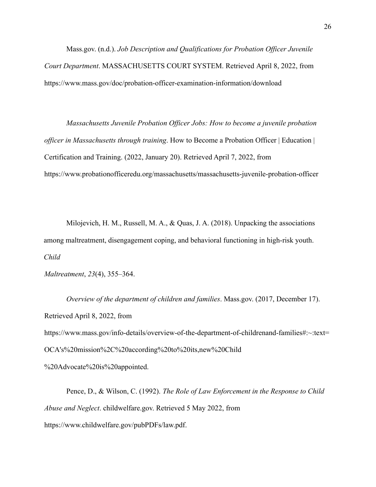Mass.gov. (n.d.). *Job Description and Qualifications for Probation Officer Juvenile Court Department*. MASSACHUSETTS COURT SYSTEM. Retrieved April 8, 2022, from https://www.mass.gov/doc/probation-officer-examination-information/download

*Massachusetts Juvenile Probation Officer Jobs: How to become a juvenile probation officer in Massachusetts through training*. How to Become a Probation Officer | Education | Certification and Training. (2022, January 20). Retrieved April 7, 2022, from https://www.probationofficeredu.org/massachusetts/massachusetts-juvenile-probation-officer

Milojevich, H. M., Russell, M. A., & Quas, J. A. (2018). Unpacking the associations among maltreatment, disengagement coping, and behavioral functioning in high-risk youth. *Child*

*Maltreatment*, *23*(4), 355–364.

*Overview of the department of children and families*. Mass.gov. (2017, December 17). Retrieved April 8, 2022, from https://www.mass.gov/info-details/overview-of-the-department-of-childrenand-families#:~:text= OCA's%20mission%2C%20according%20to%20its,new%20Child

%20Advocate%20is%20appointed.

Pence, D., & Wilson, C. (1992). *The Role of Law Enforcement in the Response to Child Abuse and Neglect*. childwelfare.gov. Retrieved 5 May 2022, from https://www.childwelfare.gov/pubPDFs/law.pdf.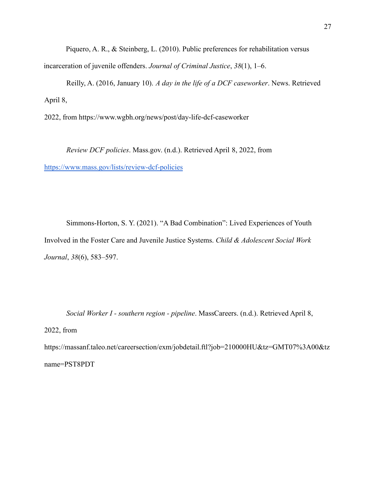Piquero, A. R., & Steinberg, L. (2010). Public preferences for rehabilitation versus incarceration of juvenile offenders. *Journal of Criminal Justice*, *38*(1), 1–6.

Reilly, A. (2016, January 10). *A day in the life of a DCF caseworker*. News. Retrieved April 8,

2022, from https://www.wgbh.org/news/post/day-life-dcf-caseworker

*Review DCF policies*. Mass.gov. (n.d.). Retrieved April 8, 2022, from <https://www.mass.gov/lists/review-dcf-policies>

Simmons-Horton, S. Y. (2021). "A Bad Combination": Lived Experiences of Youth Involved in the Foster Care and Juvenile Justice Systems. *Child & Adolescent Social Work Journal*, *38*(6), 583–597.

*Social Worker I - southern region - pipeline*. MassCareers. (n.d.). Retrieved April 8, 2022, from https://massanf.taleo.net/careersection/exm/jobdetail.ftl?job=210000HU&tz=GMT07%3A00&tz

name=PST8PDT